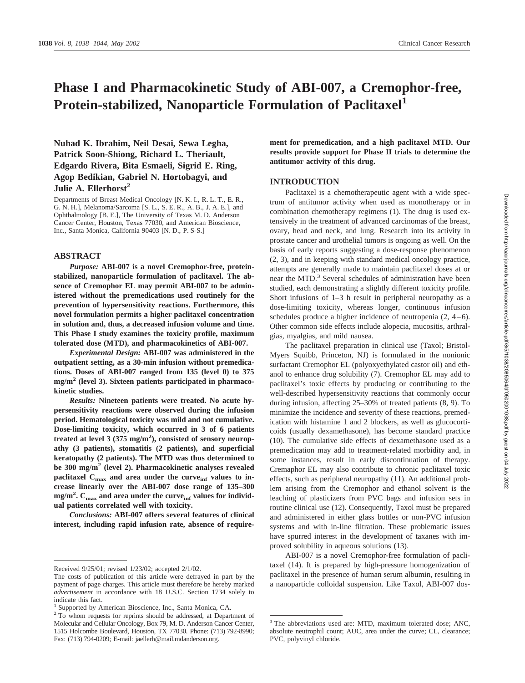# **Phase I and Pharmacokinetic Study of ABI-007, a Cremophor-free, Protein-stabilized, Nanoparticle Formulation of Paclitaxel<sup>1</sup>**

**Nuhad K. Ibrahim, Neil Desai, Sewa Legha, Patrick Soon-Shiong, Richard L. Theriault, Edgardo Rivera, Bita Esmaeli, Sigrid E. Ring, Agop Bedikian, Gabriel N. Hortobagyi, and Julie A. Ellerhorst<sup>2</sup>** 

Departments of Breast Medical Oncology [N. K. I., R. L. T., E. R., G. N. H.], Melanoma/Sarcoma [S. L., S. E. R., A. B., J. A. E.], and Ophthalmology [B. E.], The University of Texas M. D. Anderson Cancer Center, Houston, Texas 77030, and American Bioscience, Inc., Santa Monica, California 90403 [N. D., P. S-S.]

#### **ABSTRACT**

*Purpose:* **ABI-007 is a novel Cremophor-free, proteinstabilized, nanoparticle formulation of paclitaxel. The absence of Cremophor EL may permit ABI-007 to be administered without the premedications used routinely for the prevention of hypersensitivity reactions. Furthermore, this novel formulation permits a higher paclitaxel concentration in solution and, thus, a decreased infusion volume and time. This Phase I study examines the toxicity profile, maximum tolerated dose (MTD), and pharmacokinetics of ABI-007.**

*Experimental Design:* **ABI-007 was administered in the outpatient setting, as a 30-min infusion without premedications. Doses of ABI-007 ranged from 135 (level 0) to 375 mg/m2 (level 3). Sixteen patients participated in pharmacokinetic studies.**

*Results:* **Nineteen patients were treated. No acute hypersensitivity reactions were observed during the infusion period. Hematological toxicity was mild and not cumulative. Dose-limiting toxicity, which occurred in 3 of 6 patients treated at level 3 (375 mg/m2 ), consisted of sensory neuropathy (3 patients), stomatitis (2 patients), and superficial keratopathy (2 patients). The MTD was thus determined to be 300 mg/m2 (level 2). Pharmacokinetic analyses revealed** paclitaxel C<sub>max</sub> and area under the curve<sub>inf</sub> values to in**crease linearly over the ABI-007 dose range of 135–300** mg/m<sup>2</sup>. C<sub>max</sub> and area under the curve<sub>inf</sub> values for individ**ual patients correlated well with toxicity.**

*Conclusions:* **ABI-007 offers several features of clinical interest, including rapid infusion rate, absence of require-** **ment for premedication, and a high paclitaxel MTD. Our results provide support for Phase II trials to determine the antitumor activity of this drug.**

### **INTRODUCTION**

Paclitaxel is a chemotherapeutic agent with a wide spectrum of antitumor activity when used as monotherapy or in combination chemotherapy regimens (1). The drug is used extensively in the treatment of advanced carcinomas of the breast, ovary, head and neck, and lung. Research into its activity in prostate cancer and urothelial tumors is ongoing as well. On the basis of early reports suggesting a dose-response phenomenon (2, 3), and in keeping with standard medical oncology practice, attempts are generally made to maintain paclitaxel doses at or near the MTD.<sup>3</sup> Several schedules of administration have been studied, each demonstrating a slightly different toxicity profile. Short infusions of 1–3 h result in peripheral neuropathy as a dose-limiting toxicity, whereas longer, continuous infusion schedules produce a higher incidence of neutropenia (2, 4–6). Other common side effects include alopecia, mucositis, arthralgias, myalgias, and mild nausea.

The paclitaxel preparation in clinical use (Taxol; Bristol-Myers Squibb, Princeton, NJ) is formulated in the nonionic surfactant Cremophor EL (polyoxyethylated castor oil) and ethanol to enhance drug solubility (7). Cremophor EL may add to paclitaxel's toxic effects by producing or contributing to the well-described hypersensitivity reactions that commonly occur during infusion, affecting 25–30% of treated patients (8, 9). To minimize the incidence and severity of these reactions, premedication with histamine 1 and 2 blockers, as well as glucocorticoids (usually dexamethasone), has become standard practice (10). The cumulative side effects of dexamethasone used as a premedication may add to treatment-related morbidity and, in some instances, result in early discontinuation of therapy. Cremaphor EL may also contribute to chronic paclitaxel toxic effects, such as peripheral neuropathy (11). An additional problem arising from the Cremophor and ethanol solvent is the leaching of plasticizers from PVC bags and infusion sets in routine clinical use (12). Consequently, Taxol must be prepared and administered in either glass bottles or non-PVC infusion systems and with in-line filtration. These problematic issues have spurred interest in the development of taxanes with improved solubility in aqueous solutions (13).

ABI-007 is a novel Cremophor-free formulation of paclitaxel (14). It is prepared by high-pressure homogenization of paclitaxel in the presence of human serum albumin, resulting in a nanoparticle colloidal suspension. Like Taxol, ABI-007 dos-

Received 9/25/01; revised 1/23/02; accepted 2/1/02.

The costs of publication of this article were defrayed in part by the payment of page charges. This article must therefore be hereby marked *advertisement* in accordance with 18 U.S.C. Section 1734 solely to indicate this fact.

<sup>&</sup>lt;sup>1</sup> Supported by American Bioscience, Inc., Santa Monica, CA.

<sup>&</sup>lt;sup>2</sup> To whom requests for reprints should be addressed, at Department of Molecular and Cellular Oncology, Box 79, M. D. Anderson Cancer Center, 1515 Holcombe Boulevard, Houston, TX 77030. Phone: (713) 792-8990; Fax: (713) 794-0209; E-mail: jaellerh@mail.mdanderson.org.

<sup>&</sup>lt;sup>3</sup> The abbreviations used are: MTD, maximum tolerated dose; ANC, absolute neutrophil count; AUC, area under the curve; CL, clearance; PVC, polyvinyl chloride.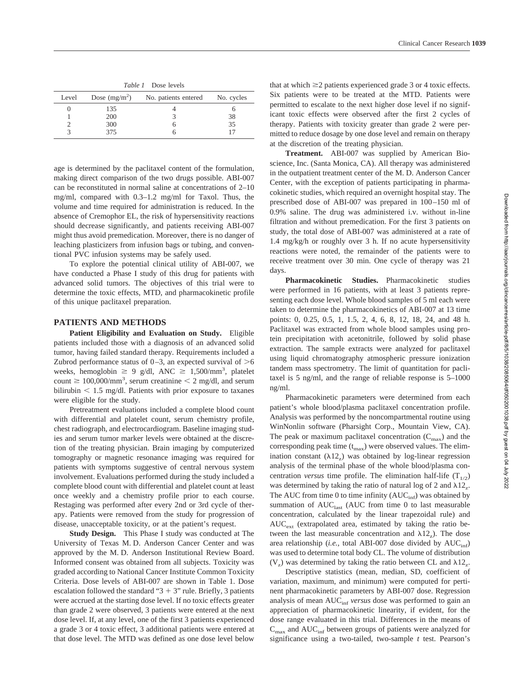| Level | Dose $(mg/m^2)$ | No. patients entered | No. cycles |
|-------|-----------------|----------------------|------------|
|       | 135             |                      |            |
|       | 200             |                      | 38         |
|       | 300             |                      | 35         |
|       | 375             |                      |            |

age is determined by the paclitaxel content of the formulation, making direct comparison of the two drugs possible. ABI-007 can be reconstituted in normal saline at concentrations of 2–10 mg/ml, compared with 0.3–1.2 mg/ml for Taxol. Thus, the volume and time required for administration is reduced. In the absence of Cremophor EL, the risk of hypersensitivity reactions should decrease significantly, and patients receiving ABI-007 might thus avoid premedication. Moreover, there is no danger of leaching plasticizers from infusion bags or tubing, and conventional PVC infusion systems may be safely used.

To explore the potential clinical utility of ABI-007, we have conducted a Phase I study of this drug for patients with advanced solid tumors. The objectives of this trial were to determine the toxic effects, MTD, and pharmacokinetic profile of this unique paclitaxel preparation.

# **PATIENTS AND METHODS**

**Patient Eligibility and Evaluation on Study.** Eligible patients included those with a diagnosis of an advanced solid tumor, having failed standard therapy. Requirements included a Zubrod performance status of  $0-3$ , an expected survival of  $\geq 6$ weeks, hemoglobin  $\geq 9$  g/dl, ANC  $\geq 1,500/\text{mm}^3$ , platelet count  $\geq 100,000/\text{mm}^3$ , serum creatinine  $\leq 2$  mg/dl, and serum bilirubin  $\leq 1.5$  mg/dl. Patients with prior exposure to taxanes were eligible for the study.

Pretreatment evaluations included a complete blood count with differential and platelet count, serum chemistry profile, chest radiograph, and electrocardiogram. Baseline imaging studies and serum tumor marker levels were obtained at the discretion of the treating physician. Brain imaging by computerized tomography or magnetic resonance imaging was required for patients with symptoms suggestive of central nervous system involvement. Evaluations performed during the study included a complete blood count with differential and platelet count at least once weekly and a chemistry profile prior to each course. Restaging was performed after every 2nd or 3rd cycle of therapy. Patients were removed from the study for progression of disease, unacceptable toxicity, or at the patient's request.

**Study Design.** This Phase I study was conducted at The University of Texas M. D. Anderson Cancer Center and was approved by the M. D. Anderson Institutional Review Board. Informed consent was obtained from all subjects. Toxicity was graded according to National Cancer Institute Common Toxicity Criteria. Dose levels of ABI-007 are shown in Table 1. Dose escalation followed the standard " $3 + 3$ " rule. Briefly, 3 patients were accrued at the starting dose level. If no toxic effects greater than grade 2 were observed, 3 patients were entered at the next dose level. If, at any level, one of the first 3 patients experienced a grade 3 or 4 toxic effect, 3 additional patients were entered at that dose level. The MTD was defined as one dose level below

that at which  $\geq$ 2 patients experienced grade 3 or 4 toxic effects. Six patients were to be treated at the MTD. Patients were permitted to escalate to the next higher dose level if no significant toxic effects were observed after the first 2 cycles of therapy. Patients with toxicity greater than grade 2 were permitted to reduce dosage by one dose level and remain on therapy at the discretion of the treating physician.

**Treatment.** ABI-007 was supplied by American Bioscience, Inc. (Santa Monica, CA). All therapy was administered in the outpatient treatment center of the M. D. Anderson Cancer Center, with the exception of patients participating in pharmacokinetic studies, which required an overnight hospital stay. The prescribed dose of ABI-007 was prepared in 100–150 ml of 0.9% saline. The drug was administered i.v. without in-line filtration and without premedication. For the first 3 patients on study, the total dose of ABI-007 was administered at a rate of 1.4 mg/kg/h or roughly over 3 h. If no acute hypersensitivity reactions were noted, the remainder of the patients were to receive treatment over 30 min. One cycle of therapy was 21 days.

**Pharmacokinetic Studies.** Pharmacokinetic studies were performed in 16 patients, with at least 3 patients representing each dose level. Whole blood samples of 5 ml each were taken to determine the pharmacokinetics of ABI-007 at 13 time points: 0, 0.25, 0.5, 1, 1.5, 2, 4, 6, 8, 12, 18, 24, and 48 h. Paclitaxel was extracted from whole blood samples using protein precipitation with acetonitrile, followed by solid phase extraction. The sample extracts were analyzed for paclitaxel using liquid chromatography atmospheric pressure ionization tandem mass spectrometry. The limit of quantitation for paclitaxel is 5 ng/ml, and the range of reliable response is 5–1000 ng/ml.

Pharmacokinetic parameters were determined from each patient's whole blood/plasma paclitaxel concentration profile. Analysis was performed by the noncompartmental routine using WinNonlin software (Pharsight Corp., Mountain View, CA). The peak or maximum paclitaxel concentration  $(C_{\text{max}})$  and the corresponding peak time  $(t_{\text{max}})$  were observed values. The elimination constant  $(\lambda 12_z)$  was obtained by log-linear regression analysis of the terminal phase of the whole blood/plasma concentration *versus* time profile. The elimination half-life  $(T_{1/2})$ was determined by taking the ratio of natural log of 2 and  $\lambda 12$ <sub>z</sub>. The AUC from time 0 to time infinity  $(AUC_{inf})$  was obtained by summation of  $AUC<sub>last</sub>$  (AUC from time 0 to last measurable concentration, calculated by the linear trapezoidal rule) and  $AUC_{ext}$  (extrapolated area, estimated by taking the ratio between the last measurable concentration and  $\lambda$ 12<sub>z</sub>). The dose area relationship (*i.e.*, total ABI-007 dose divided by  $AUC_{\text{inf}}$ ) was used to determine total body CL. The volume of distribution  $(V<sub>z</sub>)$  was determined by taking the ratio between CL and  $\lambda$ 12<sub>z</sub>.

Descriptive statistics (mean, median, SD, coefficient of variation, maximum, and minimum) were computed for pertinent pharmacokinetic parameters by ABI-007 dose. Regression analysis of mean AUC<sub>inf</sub> versus dose was performed to gain an appreciation of pharmacokinetic linearity, if evident, for the dose range evaluated in this trial. Differences in the means of  $C_{\text{max}}$  and  $AUC_{\text{inf}}$  between groups of patients were analyzed for significance using a two-tailed, two-sample *t* test. Pearson's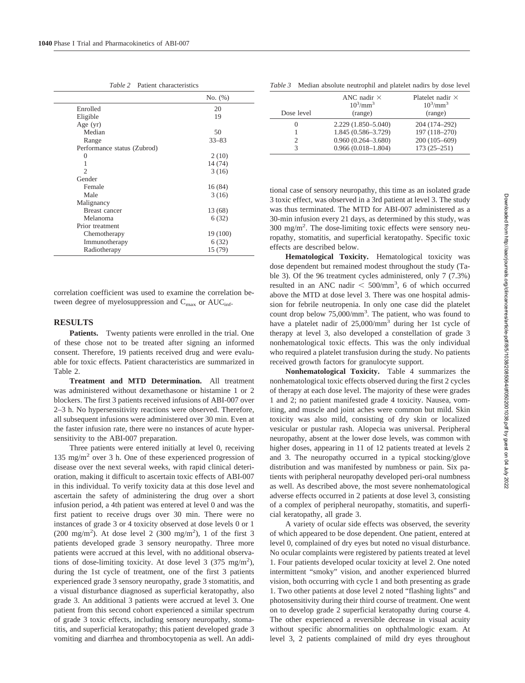*Table 2* Patient characteristics

|                             | No. (%)   |
|-----------------------------|-----------|
| Enrolled                    | 20        |
| Eligible                    | 19        |
| Age $(yr)$                  |           |
| Median                      | 50        |
| Range                       | $33 - 83$ |
| Performance status (Zubrod) |           |
| 0                           | 2(10)     |
|                             | 14 (74)   |
| $\mathfrak{D}$              | 3(16)     |
| Gender                      |           |
| Female                      | 16 (84)   |
| Male                        | 3(16)     |
| Malignancy                  |           |
| <b>Breast</b> cancer        | 13 (68)   |
| Melanoma                    | 6(32)     |
| Prior treatment             |           |
| Chemotherapy                | 19 (100)  |
| Immunotherapy               | 6(32)     |
| Radiotherapy                | 15 (79)   |

correlation coefficient was used to examine the correlation between degree of myelosuppression and  $C_{\text{max}}$  or  $AUC_{\text{inf}}$ .

# **RESULTS**

**Patients.** Twenty patients were enrolled in the trial. One of these chose not to be treated after signing an informed consent. Therefore, 19 patients received drug and were evaluable for toxic effects. Patient characteristics are summarized in Table 2.

**Treatment and MTD Determination.** All treatment was administered without dexamethasone or histamine 1 or 2 blockers. The first 3 patients received infusions of ABI-007 over 2–3 h. No hypersensitivity reactions were observed. Therefore, all subsequent infusions were administered over 30 min. Even at the faster infusion rate, there were no instances of acute hypersensitivity to the ABI-007 preparation.

Three patients were entered initially at level 0, receiving 135 mg/m<sup>2</sup> over 3 h. One of these experienced progression of disease over the next several weeks, with rapid clinical deterioration, making it difficult to ascertain toxic effects of ABI-007 in this individual. To verify toxicity data at this dose level and ascertain the safety of administering the drug over a short infusion period, a 4th patient was entered at level 0 and was the first patient to receive drugs over 30 min. There were no instances of grade 3 or 4 toxicity observed at dose levels 0 or 1  $(200 \text{ mg/m}^2)$ . At dose level 2  $(300 \text{ mg/m}^2)$ , 1 of the first 3 patients developed grade 3 sensory neuropathy. Three more patients were accrued at this level, with no additional observations of dose-limiting toxicity. At dose level 3 (375 mg/m<sup>2</sup>), during the 1st cycle of treatment, one of the first 3 patients experienced grade 3 sensory neuropathy, grade 3 stomatitis, and a visual disturbance diagnosed as superficial keratopathy, also grade 3. An additional 3 patients were accrued at level 3. One patient from this second cohort experienced a similar spectrum of grade 3 toxic effects, including sensory neuropathy, stomatitis, and superficial keratopathy; this patient developed grade 3 vomiting and diarrhea and thrombocytopenia as well. An addi-

| Dose level | ANC nadir $\times$<br>$10^3/\text{mm}^3$<br>(range) | Platelet nadir $\times$<br>$10^3$ /mm <sup>3</sup><br>(range) |
|------------|-----------------------------------------------------|---------------------------------------------------------------|
| $\theta$   | 2.229 (1.850-5.040)                                 | 204 (174-292)                                                 |
|            | 1.845 (0.586-3.729)                                 | 197 (118-270)                                                 |
| 2          | $0.960(0.264 - 3.680)$                              | $200(105-609)$                                                |
| 3          | $0.966(0.018 - 1.804)$                              | $173(25-251)$                                                 |

tional case of sensory neuropathy, this time as an isolated grade 3 toxic effect, was observed in a 3rd patient at level 3. The study was thus terminated. The MTD for ABI-007 administered as a 30-min infusion every 21 days, as determined by this study, was 300 mg/m2 . The dose-limiting toxic effects were sensory neuropathy, stomatitis, and superficial keratopathy. Specific toxic effects are described below.

**Hematological Toxicity.** Hematological toxicity was dose dependent but remained modest throughout the study (Table 3). Of the 96 treatment cycles administered, only 7 (7.3%) resulted in an ANC nadir  $\lt$  500/mm<sup>3</sup>, 6 of which occurred above the MTD at dose level 3. There was one hospital admission for febrile neutropenia. In only one case did the platelet count drop below 75,000/mm<sup>3</sup>. The patient, who was found to have a platelet nadir of 25,000/mm3 during her 1st cycle of therapy at level 3, also developed a constellation of grade 3 nonhematological toxic effects. This was the only individual who required a platelet transfusion during the study. No patients received growth factors for granulocyte support.

**Nonhematological Toxicity.** Table 4 summarizes the nonhematological toxic effects observed during the first 2 cycles of therapy at each dose level. The majority of these were grades 1 and 2; no patient manifested grade 4 toxicity. Nausea, vomiting, and muscle and joint aches were common but mild. Skin toxicity was also mild, consisting of dry skin or localized vesicular or pustular rash. Alopecia was universal. Peripheral neuropathy, absent at the lower dose levels, was common with higher doses, appearing in 11 of 12 patients treated at levels 2 and 3. The neuropathy occurred in a typical stocking/glove distribution and was manifested by numbness or pain. Six patients with peripheral neuropathy developed peri-oral numbness as well. As described above, the most severe nonhematological adverse effects occurred in 2 patients at dose level 3, consisting of a complex of peripheral neuropathy, stomatitis, and superficial keratopathy, all grade 3.

A variety of ocular side effects was observed, the severity of which appeared to be dose dependent. One patient, entered at level 0, complained of dry eyes but noted no visual disturbance. No ocular complaints were registered by patients treated at level 1. Four patients developed ocular toxicity at level 2. One noted intermittent "smoky" vision, and another experienced blurred vision, both occurring with cycle 1 and both presenting as grade 1. Two other patients at dose level 2 noted "flashing lights" and photosensitivity during their third course of treatment. One went on to develop grade 2 superficial keratopathy during course 4. The other experienced a reversible decrease in visual acuity without specific abnormalities on ophthalmologic exam. At level 3, 2 patients complained of mild dry eyes throughout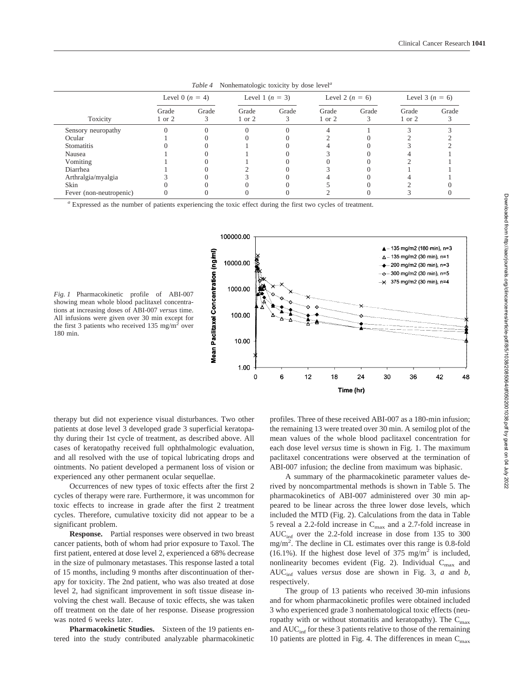|                         | Level 0 $(n = 4)$   |       | Level 1 $(n = 3)$ |       | Level 2 $(n = 6)$ |       | Level 3 $(n = 6)$ |       |
|-------------------------|---------------------|-------|-------------------|-------|-------------------|-------|-------------------|-------|
| Toxicity                | Grade<br>$1$ or $2$ | Grade | Grade<br>1 or 2   | Grade | Grade<br>1 or 2   | Grade | Grade<br>1 or 2   | Grade |
| Sensory neuropathy      |                     |       |                   |       |                   |       |                   |       |
| Ocular                  |                     |       |                   |       |                   |       |                   |       |
| <b>Stomatitis</b>       |                     |       |                   |       |                   |       |                   |       |
| Nausea                  |                     |       |                   |       |                   |       |                   |       |
| Vomiting                |                     |       |                   |       |                   |       |                   |       |
| Diarrhea                |                     |       |                   |       |                   |       |                   |       |
| Arthralgia/myalgia      |                     |       |                   |       |                   |       |                   |       |
| Skin                    |                     |       |                   |       |                   |       |                   |       |
| Fever (non-neutropenic) |                     |       |                   |       |                   |       |                   |       |

*Table 4* Nonhematologic toxicity by dose level*<sup>a</sup>*

*<sup>a</sup>* Expressed as the number of patients experiencing the toxic effect during the first two cycles of treatment.



*Fig. 1* Pharmacokinetic profile of ABI-007 showing mean whole blood paclitaxel concentrations at increasing doses of ABI-007 *versus* time. All infusions were given over 30 min except for the first 3 patients who received  $135 \text{ mg/m}^2$  over 180 min.

therapy but did not experience visual disturbances. Two other patients at dose level 3 developed grade 3 superficial keratopathy during their 1st cycle of treatment, as described above. All cases of keratopathy received full ophthalmologic evaluation, and all resolved with the use of topical lubricating drops and ointments. No patient developed a permanent loss of vision or experienced any other permanent ocular sequellae.

Occurrences of new types of toxic effects after the first 2 cycles of therapy were rare. Furthermore, it was uncommon for toxic effects to increase in grade after the first 2 treatment cycles. Therefore, cumulative toxicity did not appear to be a significant problem.

**Response.** Partial responses were observed in two breast cancer patients, both of whom had prior exposure to Taxol. The first patient, entered at dose level 2, experienced a 68% decrease in the size of pulmonary metastases. This response lasted a total of 15 months, including 9 months after discontinuation of therapy for toxicity. The 2nd patient, who was also treated at dose level 2, had significant improvement in soft tissue disease involving the chest wall. Because of toxic effects, she was taken off treatment on the date of her response. Disease progression was noted 6 weeks later.

**Pharmacokinetic Studies.** Sixteen of the 19 patients entered into the study contributed analyzable pharmacokinetic profiles. Three of these received ABI-007 as a 180-min infusion; the remaining 13 were treated over 30 min. A semilog plot of the mean values of the whole blood paclitaxel concentration for each dose level *versus* time is shown in Fig. 1. The maximum paclitaxel concentrations were observed at the termination of ABI-007 infusion; the decline from maximum was biphasic.

A summary of the pharmacokinetic parameter values derived by noncompartmental methods is shown in Table 5. The pharmacokinetics of ABI-007 administered over 30 min appeared to be linear across the three lower dose levels, which included the MTD (Fig. 2). Calculations from the data in Table 5 reveal a 2.2-fold increase in  $C_{\text{max}}$  and a 2.7-fold increase in  $AUC<sub>inf</sub>$  over the 2.2-fold increase in dose from 135 to 300 mg/m2 . The decline in CL estimates over this range is 0.8-fold (16.1%). If the highest dose level of 375 mg/m<sup>2</sup> is included, nonlinearity becomes evident (Fig. 2). Individual  $C_{\text{max}}$  and AUCinf values *versus* dose are shown in Fig. 3, *a* and *b,* respectively.

The group of 13 patients who received 30-min infusions and for whom pharmacokinetic profiles were obtained included 3 who experienced grade 3 nonhematological toxic effects (neuropathy with or without stomatitis and keratopathy). The  $C_{\text{max}}$ and  $AUC_{\text{inf}}$  for these 3 patients relative to those of the remaining 10 patients are plotted in Fig. 4. The differences in mean  $C_{\text{max}}$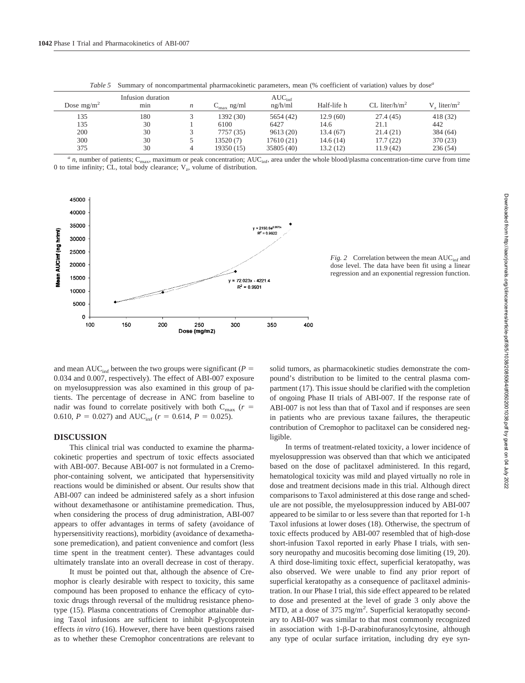| Dose $mg/m^2$ | Infusion duration<br>mın | n | $C_{\rm max}$ ng/ml | $AUC_{\text{inf}}$<br>ng/h/ml | Half-life h | $CL$ liter/h/m <sup>2</sup> | $V_{\alpha}$ liter/m <sup>2</sup> |
|---------------|--------------------------|---|---------------------|-------------------------------|-------------|-----------------------------|-----------------------------------|
| 135           | 180                      |   | 1392 (30)           | 5654 (42)                     | 12.9(60)    | 27.4(45)                    | 418 (32)                          |
| 135           | 30                       |   | 6100                | 6427                          | 14.6        | 21.1                        | 442                               |
| 200           | 30                       |   | 7757 (35)           | 9613(20)                      | 13.4(67)    | 21.4(21)                    | 384 (64)                          |
| 300           | 30                       |   | 13520(7)            | 17610 (21)                    | 14.6(14)    | 17.7(22)                    | 370 (23)                          |
| 375           | 30                       |   | 19350 (15)          | 35805 (40)                    | 13.2(12)    | 11.9(42)                    | 236(54)                           |

*Table 5* Summary of noncompartmental pharmacokinetic parameters, mean (% coefficient of variation) values by dose*<sup>a</sup>*

 $a$  *n*, number of patients; C<sub>max</sub>, maximum or peak concentration; AUC<sub>inf</sub>, area under the whole blood/plasma concentration-time curve from time 0 to time infinity; CL, total body clearance;  $V_z$ , volume of distribution.



*Fig.* 2 Correlation between the mean  $AUC<sub>inf</sub>$  and dose level. The data have been fit using a linear regression and an exponential regression function.

and mean  $AUC_{\text{inf}}$  between the two groups were significant ( $P =$ 0.034 and 0.007, respectively). The effect of ABI-007 exposure on myelosuppression was also examined in this group of patients. The percentage of decrease in ANC from baseline to nadir was found to correlate positively with both  $C_{\text{max}}$  ( $r =$ 0.610,  $P = 0.027$ ) and AUC<sub>inf</sub> ( $r = 0.614$ ,  $P = 0.025$ ).

## **DISCUSSION**

This clinical trial was conducted to examine the pharmacokinetic properties and spectrum of toxic effects associated with ABI-007. Because ABI-007 is not formulated in a Cremophor-containing solvent, we anticipated that hypersensitivity reactions would be diminished or absent. Our results show that ABI-007 can indeed be administered safely as a short infusion without dexamethasone or antihistamine premedication. Thus, when considering the process of drug administration, ABI-007 appears to offer advantages in terms of safety (avoidance of hypersensitivity reactions), morbidity (avoidance of dexamethasone premedication), and patient convenience and comfort (less time spent in the treatment center). These advantages could ultimately translate into an overall decrease in cost of therapy.

It must be pointed out that, although the absence of Cremophor is clearly desirable with respect to toxicity, this same compound has been proposed to enhance the efficacy of cytotoxic drugs through reversal of the multidrug resistance phenotype (15). Plasma concentrations of Cremophor attainable during Taxol infusions are sufficient to inhibit P-glycoprotein effects *in vitro* (16). However, there have been questions raised as to whether these Cremophor concentrations are relevant to solid tumors, as pharmacokinetic studies demonstrate the compound's distribution to be limited to the central plasma compartment (17). This issue should be clarified with the completion of ongoing Phase II trials of ABI-007. If the response rate of ABI-007 is not less than that of Taxol and if responses are seen in patients who are previous taxane failures, the therapeutic contribution of Cremophor to paclitaxel can be considered negligible.

In terms of treatment-related toxicity, a lower incidence of myelosuppression was observed than that which we anticipated based on the dose of paclitaxel administered. In this regard, hematological toxicity was mild and played virtually no role in dose and treatment decisions made in this trial. Although direct comparisons to Taxol administered at this dose range and schedule are not possible, the myelosuppression induced by ABI-007 appeared to be similar to or less severe than that reported for 1-h Taxol infusions at lower doses (18). Otherwise, the spectrum of toxic effects produced by ABI-007 resembled that of high-dose short-infusion Taxol reported in early Phase I trials, with sensory neuropathy and mucositis becoming dose limiting (19, 20). A third dose-limiting toxic effect, superficial keratopathy, was also observed. We were unable to find any prior report of superficial keratopathy as a consequence of paclitaxel administration. In our Phase I trial, this side effect appeared to be related to dose and presented at the level of grade 3 only above the MTD, at a dose of  $375 \text{ mg/m}^2$ . Superficial keratopathy secondary to ABI-007 was similar to that most commonly recognized in association with  $1-\beta-D$ -arabinofuranosylcytosine, although any type of ocular surface irritation, including dry eye syn-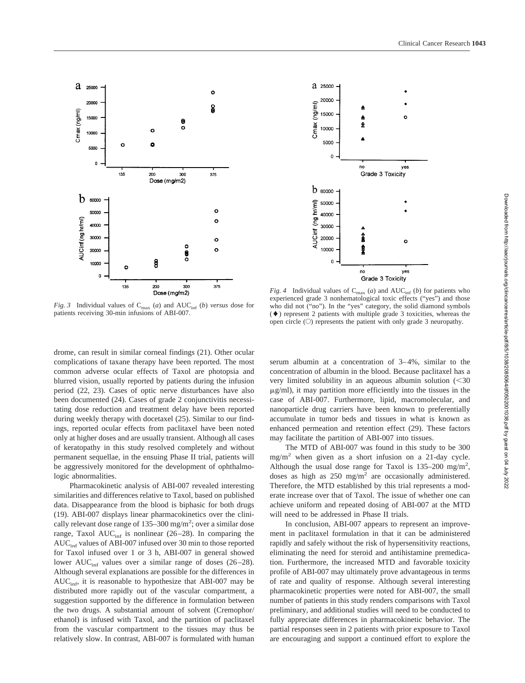

a 25000 20000  $(mq/ml)$ 15000 o Cmax ₳ 10000 5000  $\Omega$ no ves Grade 3 Toxicity  $b$  60000 AUCinf (ng hr/ml) 50000 40000 30000 20000 10000 no yes Grade 3 Toxicity

*Fig. 3* Individual values of  $C_{\text{max}}$  (*a*) and  $AUC_{\text{inf}}$  (*b*) *versus* dose for patients receiving 30-min infusions of ABI-007.

*Fig. 4* Individual values of  $C_{\text{max}}$  (*a*) and  $AUC_{\text{inf}}$  (*b*) for patients who experienced grade 3 nonhematological toxic effects ("yes") and those who did not ("no"). In the "yes" category, the solid diamond symbols  $(\blacklozenge)$  represent 2 patients with multiple grade 3 toxicities, whereas the open circle  $(O)$  represents the patient with only grade 3 neuropathy.

drome, can result in similar corneal findings (21). Other ocular complications of taxane therapy have been reported. The most common adverse ocular effects of Taxol are photopsia and blurred vision, usually reported by patients during the infusion period (22, 23). Cases of optic nerve disturbances have also been documented (24). Cases of grade 2 conjunctivitis necessitating dose reduction and treatment delay have been reported during weekly therapy with docetaxel (25). Similar to our findings, reported ocular effects from paclitaxel have been noted only at higher doses and are usually transient. Although all cases of keratopathy in this study resolved completely and without permanent sequellae, in the ensuing Phase II trial, patients will be aggressively monitored for the development of ophthalmologic abnormalities.

Pharmacokinetic analysis of ABI-007 revealed interesting similarities and differences relative to Taxol, based on published data. Disappearance from the blood is biphasic for both drugs (19). ABI-007 displays linear pharmacokinetics over the clinically relevant dose range of  $135-300$  mg/m<sup>2</sup>; over a similar dose range, Taxol  $AUC_{inf}$  is nonlinear (26–28). In comparing the  $AUC<sub>inf</sub>$  values of ABI-007 infused over 30 min to those reported for Taxol infused over 1 or 3 h, ABI-007 in general showed lower  $AUC_{\text{inf}}$  values over a similar range of doses (26–28). Although several explanations are possible for the differences in  $AUC<sub>inf</sub>$ , it is reasonable to hypothesize that ABI-007 may be distributed more rapidly out of the vascular compartment, a suggestion supported by the difference in formulation between the two drugs. A substantial amount of solvent (Cremophor/ ethanol) is infused with Taxol, and the partition of paclitaxel from the vascular compartment to the tissues may thus be relatively slow. In contrast, ABI-007 is formulated with human serum albumin at a concentration of 3–4%, similar to the concentration of albumin in the blood. Because paclitaxel has a very limited solubility in an aqueous albumin solution  $(< 30$  $\mu$ g/ml), it may partition more efficiently into the tissues in the case of ABI-007. Furthermore, lipid, macromolecular, and nanoparticle drug carriers have been known to preferentially accumulate in tumor beds and tissues in what is known as enhanced permeation and retention effect (29). These factors may facilitate the partition of ABI-007 into tissues.

The MTD of ABI-007 was found in this study to be 300  $mg/m<sup>2</sup>$  when given as a short infusion on a 21-day cycle. Although the usual dose range for Taxol is  $135-200$  mg/m<sup>2</sup>, doses as high as  $250 \text{ mg/m}^2$  are occasionally administered. Therefore, the MTD established by this trial represents a moderate increase over that of Taxol. The issue of whether one can achieve uniform and repeated dosing of ABI-007 at the MTD will need to be addressed in Phase II trials.

In conclusion, ABI-007 appears to represent an improvement in paclitaxel formulation in that it can be administered rapidly and safely without the risk of hypersensitivity reactions, eliminating the need for steroid and antihistamine premedication. Furthermore, the increased MTD and favorable toxicity profile of ABI-007 may ultimately prove advantageous in terms of rate and quality of response. Although several interesting pharmacokinetic properties were noted for ABI-007, the small number of patients in this study renders comparisons with Taxol preliminary, and additional studies will need to be conducted to fully appreciate differences in pharmacokinetic behavior. The partial responses seen in 2 patients with prior exposure to Taxol are encouraging and support a continued effort to explore the